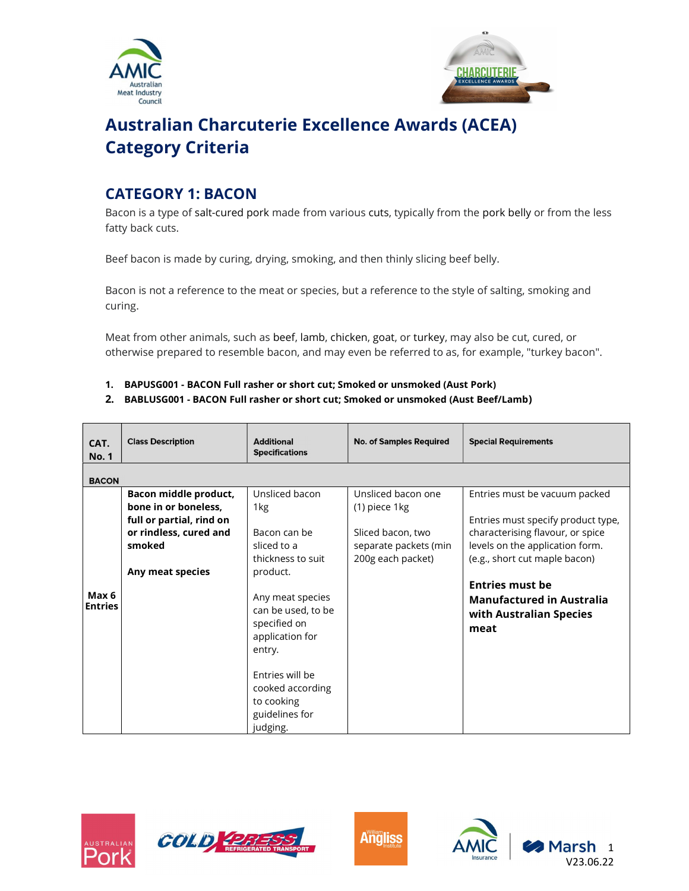



# Australian Charcuterie Excellence Awards (ACEA) Category Criteria

# CATEGORY 1: BACON

Bacon is a type of salt-cured pork made from various cuts, typically from the pork belly or from the less fatty back cuts.

Beef bacon is made by curing, drying, smoking, and then thinly slicing beef belly.

Bacon is not a reference to the meat or species, but a reference to the style of salting, smoking and curing.

Meat from other animals, such as beef, lamb, chicken, goat, or turkey, may also be cut, cured, or otherwise prepared to resemble bacon, and may even be referred to as, for example, "turkey bacon".

- 1. BAPUSG001 BACON Full rasher or short cut; Smoked or unsmoked (Aust Pork)
- 2. BABLUSG001 BACON Full rasher or short cut; Smoked or unsmoked (Aust Beef/Lamb)

| CAT.<br><b>No. 1</b>    | <b>Class Description</b>                                                                                                          | <b>Additional</b><br><b>Specifications</b>                                                                                                                                                                                                                      | <b>No. of Samples Required</b>                                                                         | <b>Special Requirements</b>                                                                                                                                                                                                                                                  |
|-------------------------|-----------------------------------------------------------------------------------------------------------------------------------|-----------------------------------------------------------------------------------------------------------------------------------------------------------------------------------------------------------------------------------------------------------------|--------------------------------------------------------------------------------------------------------|------------------------------------------------------------------------------------------------------------------------------------------------------------------------------------------------------------------------------------------------------------------------------|
| <b>BACON</b>            |                                                                                                                                   |                                                                                                                                                                                                                                                                 |                                                                                                        |                                                                                                                                                                                                                                                                              |
| Max 6<br><b>Entries</b> | Bacon middle product,<br>bone in or boneless.<br>full or partial, rind on<br>or rindless, cured and<br>smoked<br>Any meat species | Unsliced bacon<br>1kg<br>Bacon can be<br>sliced to a<br>thickness to suit<br>product.<br>Any meat species<br>can be used, to be<br>specified on<br>application for<br>entry.<br>Entries will be<br>cooked according<br>to cooking<br>guidelines for<br>judging. | Unsliced bacon one<br>(1) piece 1kg<br>Sliced bacon, two<br>separate packets (min<br>200g each packet) | Entries must be vacuum packed<br>Entries must specify product type,<br>characterising flavour, or spice<br>levels on the application form.<br>(e.g., short cut maple bacon)<br><b>Entries must be</b><br><b>Manufactured in Australia</b><br>with Australian Species<br>meat |







1

V23.06.22

larsh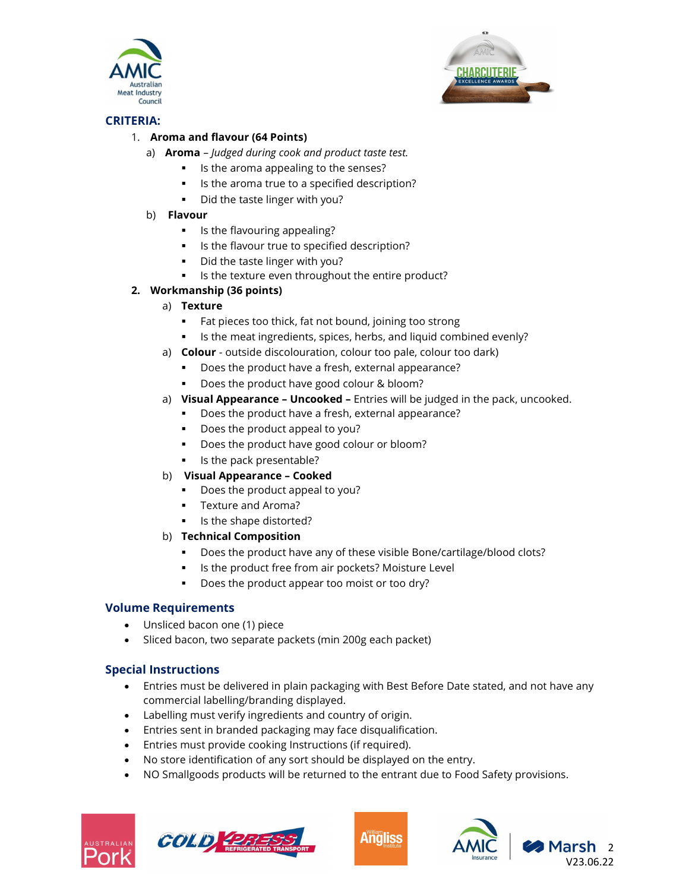



# CRITERIA:

# 1. Aroma and flavour (64 Points)

- a) **Aroma** Judged during cook and product taste test.
	- Is the aroma appealing to the senses?
	- If Is the aroma true to a specified description?
	- Did the taste linger with you?
- b) Flavour
	- **IF** Is the flavouring appealing?
	- Is the flavour true to specified description?
	- Did the taste linger with you?
	- **IF Its the texture even throughout the entire product?**

# 2. Workmanship (36 points)

- a) Texture
	- Fat pieces too thick, fat not bound, joining too strong
	- Is the meat ingredients, spices, herbs, and liquid combined evenly?
- a) **Colour** outside discolouration, colour too pale, colour too dark)
	- Does the product have a fresh, external appearance?
	- Does the product have good colour & bloom?
- a) Visual Appearance Uncooked Entries will be judged in the pack, uncooked.
	- **Does the product have a fresh, external appearance?**
	- Does the product appeal to you?
	- Does the product have good colour or bloom?
	- Is the pack presentable?
- b) Visual Appearance Cooked
	- Does the product appeal to you?
	- **Texture and Aroma?**
	- Is the shape distorted?

# b) Technical Composition

- Does the product have any of these visible Bone/cartilage/blood clots?
- **IF Its the product free from air pockets? Moisture Level**
- Does the product appear too moist or too dry?

# Volume Requirements

- Unsliced bacon one (1) piece
- Sliced bacon, two separate packets (min 200g each packet)

# Special Instructions

- Entries must be delivered in plain packaging with Best Before Date stated, and not have any commercial labelling/branding displayed.
- Labelling must verify ingredients and country of origin.
- Entries sent in branded packaging may face disqualification.
- Entries must provide cooking Instructions (if required).
- No store identification of any sort should be displayed on the entry.
- NO Smallgoods products will be returned to the entrant due to Food Safety provisions.







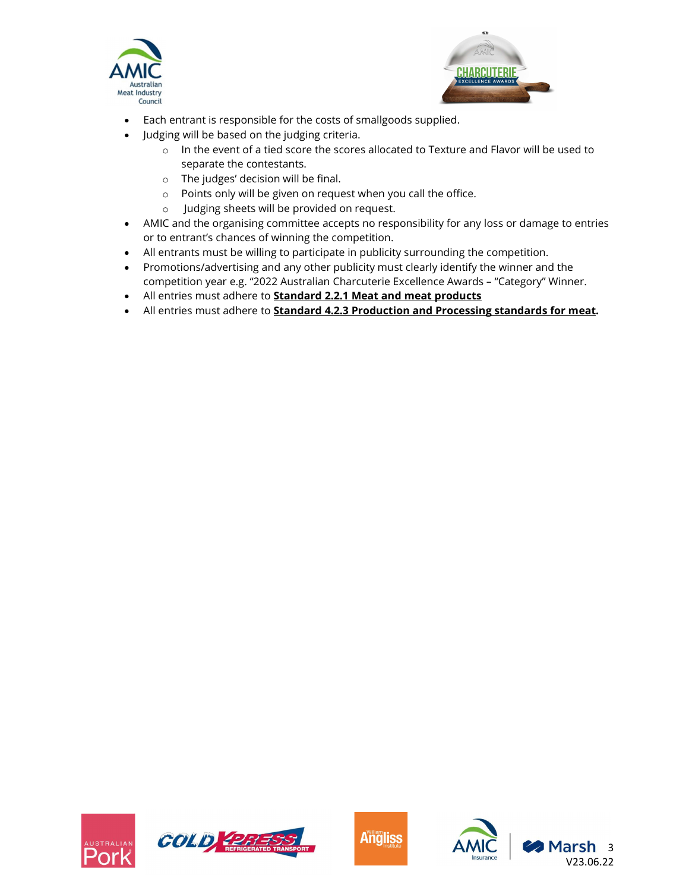



- Each entrant is responsible for the costs of smallgoods supplied.
- Judging will be based on the judging criteria.
	- $\circ$  In the event of a tied score the scores allocated to Texture and Flavor will be used to separate the contestants.
	- o The judges' decision will be final.
	- o Points only will be given on request when you call the office.
	- o Judging sheets will be provided on request.
- AMIC and the organising committee accepts no responsibility for any loss or damage to entries or to entrant's chances of winning the competition.
- All entrants must be willing to participate in publicity surrounding the competition.
- Promotions/advertising and any other publicity must clearly identify the winner and the competition year e.g. "2022 Australian Charcuterie Excellence Awards – "Category" Winner.
- All entries must adhere to **Standard 2.2.1 Meat and meat products**
- All entries must adhere to Standard 4.2.3 Production and Processing standards for meat.







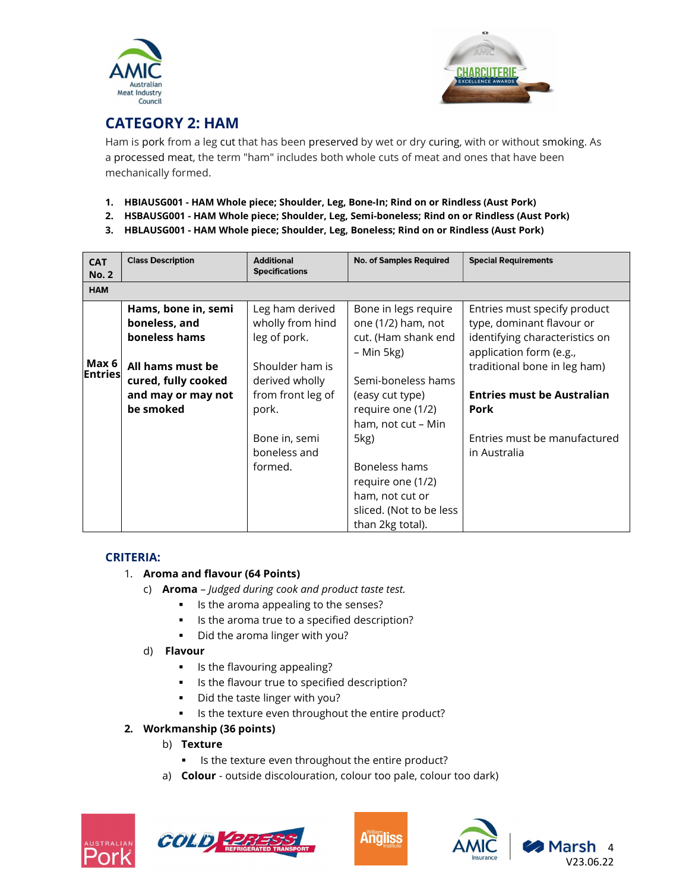



# CATEGORY 2: HAM

Ham is pork from a leg cut that has been preserved by wet or dry curing, with or without smoking. As a processed meat, the term "ham" includes both whole cuts of meat and ones that have been mechanically formed.

- 1. HBIAUSG001 HAM Whole piece; Shoulder, Leg, Bone-In; Rind on or Rindless (Aust Pork)
- 2. HSBAUSG001 HAM Whole piece; Shoulder, Leg, Semi-boneless; Rind on or Rindless (Aust Pork)
- 3. HBLAUSG001 HAM Whole piece; Shoulder, Leg, Boneless; Rind on or Rindless (Aust Pork)

| <b>CAT</b><br><b>No. 2</b> | <b>Class Description</b>                               | <b>Additional</b><br><b>Specifications</b>          | <b>No. of Samples Required</b>                                    | <b>Special Requirements</b>                                                                 |
|----------------------------|--------------------------------------------------------|-----------------------------------------------------|-------------------------------------------------------------------|---------------------------------------------------------------------------------------------|
| <b>HAM</b>                 |                                                        |                                                     |                                                                   |                                                                                             |
|                            | Hams, bone in, semi<br>boneless, and<br>boneless hams  | Leg ham derived<br>wholly from hind<br>leg of pork. | Bone in legs require<br>one (1/2) ham, not<br>cut. (Ham shank end | Entries must specify product<br>type, dominant flavour or<br>identifying characteristics on |
| Max 6<br>Entries           | All hams must be                                       | Shoulder ham is                                     | – Min 5kg)                                                        | application form (e.g.,<br>traditional bone in leg ham)                                     |
|                            | cured, fully cooked<br>and may or may not<br>be smoked | derived wholly<br>from front leg of<br>pork.        | Semi-boneless hams<br>(easy cut type)<br>require one (1/2)        | <b>Entries must be Australian</b><br>Pork                                                   |
|                            |                                                        |                                                     | ham, not cut – Min                                                | Entries must be manufactured                                                                |
|                            |                                                        | Bone in, semi<br>boneless and                       | 5kg)                                                              | in Australia                                                                                |
|                            |                                                        | formed.                                             | Boneless hams<br>require one (1/2)                                |                                                                                             |
|                            |                                                        |                                                     | ham, not cut or<br>sliced. (Not to be less<br>than 2kg total).    |                                                                                             |

# CRITERIA:

# 1. Aroma and flavour (64 Points)

- c) Aroma Judged during cook and product taste test.
	- Is the aroma appealing to the senses?
	- Is the aroma true to a specified description?
	- **Did the aroma linger with you?**
- d) Flavour
	- **IF** Is the flavouring appealing?
	- Is the flavour true to specified description?
	- Did the taste linger with you?
	- Is the texture even throughout the entire product?

# 2. Workmanship (36 points)

- b) Texture
	- Is the texture even throughout the entire product?
- a) **Colour** outside discolouration, colour too pale, colour too dark)









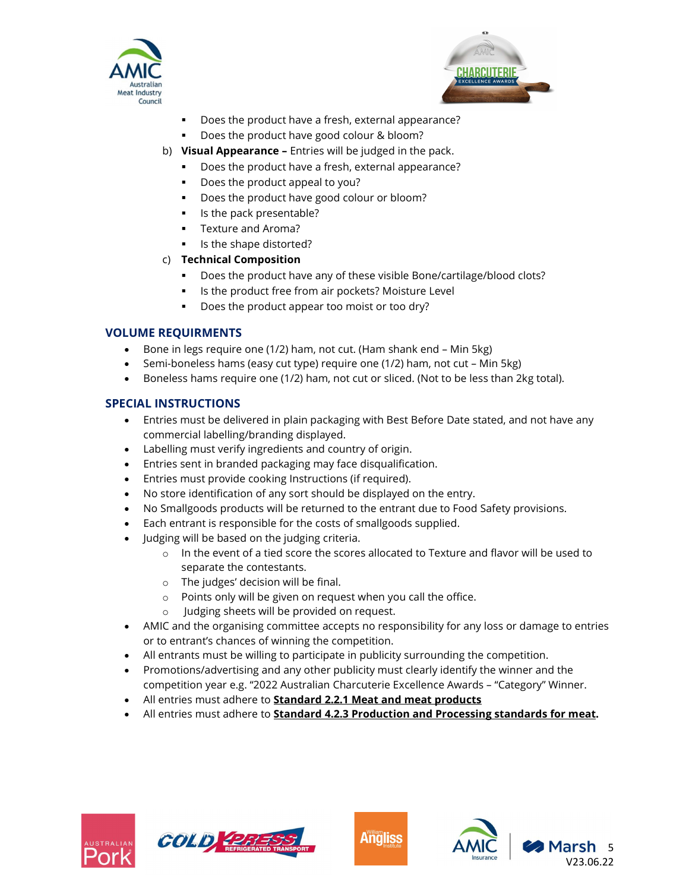



- Does the product have a fresh, external appearance?
- Does the product have good colour & bloom?
- b) Visual Appearance Entries will be judged in the pack.
	- Does the product have a fresh, external appearance?
	- Does the product appeal to you?
	- Does the product have good colour or bloom?
	- Is the pack presentable?
	- **Texture and Aroma?**
	- Is the shape distorted?

# c) Technical Composition

- Does the product have any of these visible Bone/cartilage/blood clots?
- **IF Its the product free from air pockets? Moisture Level**
- Does the product appear too moist or too dry?

# VOLUME REQUIRMENTS

- Bone in legs require one  $(1/2)$  ham, not cut. (Ham shank end Min 5kg)
- Semi-boneless hams (easy cut type) require one (1/2) ham, not cut Min 5kg)
- Boneless hams require one (1/2) ham, not cut or sliced. (Not to be less than 2kg total).

# SPECIAL INSTRUCTIONS

- Entries must be delivered in plain packaging with Best Before Date stated, and not have any commercial labelling/branding displayed.
- Labelling must verify ingredients and country of origin.
- Entries sent in branded packaging may face disqualification.
- Entries must provide cooking Instructions (if required).
- No store identification of any sort should be displayed on the entry.
- No Smallgoods products will be returned to the entrant due to Food Safety provisions.
- Each entrant is responsible for the costs of smallgoods supplied.
- Judging will be based on the judging criteria.
	- $\circ$  In the event of a tied score the scores allocated to Texture and flavor will be used to separate the contestants.
	- o The judges' decision will be final.
	- o Points only will be given on request when you call the office.
	- o Judging sheets will be provided on request.
- AMIC and the organising committee accepts no responsibility for any loss or damage to entries or to entrant's chances of winning the competition.
- All entrants must be willing to participate in publicity surrounding the competition.
- Promotions/advertising and any other publicity must clearly identify the winner and the competition year e.g. "2022 Australian Charcuterie Excellence Awards – "Category" Winner.
- All entries must adhere to **Standard 2.2.1 Meat and meat products**
- All entries must adhere to **Standard 4.2.3 Production and Processing standards for meat.**







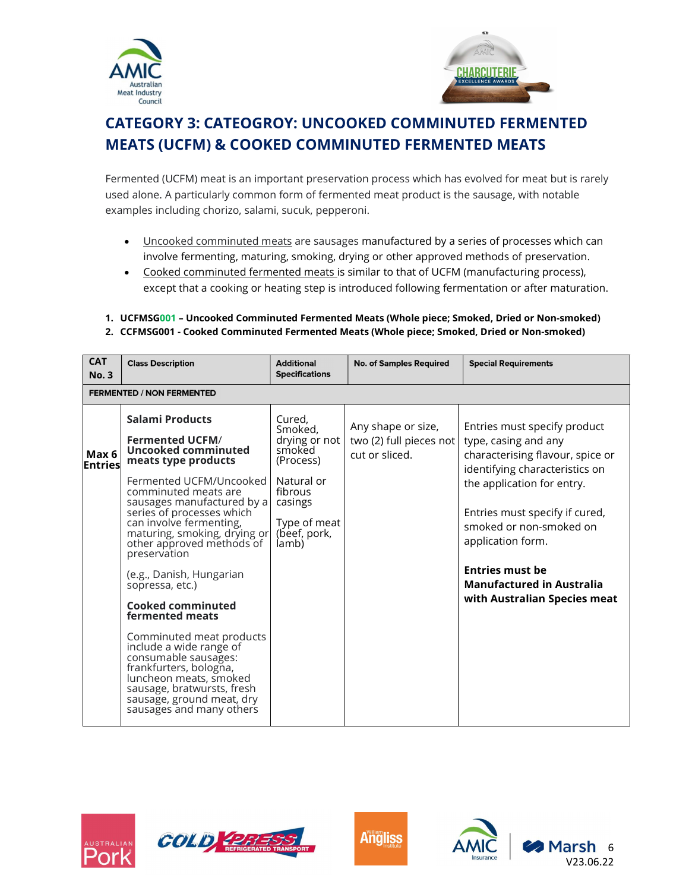



# CATEGORY 3: CATEOGROY: UNCOOKED COMMINUTED FERMENTED MEATS (UCFM) & COOKED COMMINUTED FERMENTED MEATS

Fermented (UCFM) meat is an important preservation process which has evolved for meat but is rarely used alone. A particularly common form of fermented meat product is the sausage, with notable examples including chorizo, salami, sucuk, pepperoni.

- Uncooked comminuted meats are sausages manufactured by a series of processes which can involve fermenting, maturing, smoking, drying or other approved methods of preservation.
- Cooked comminuted fermented meats is similar to that of UCFM (manufacturing process), except that a cooking or heating step is introduced following fermentation or after maturation.
- 1. UCFMSG001 Uncooked Comminuted Fermented Meats (Whole piece; Smoked, Dried or Non-smoked)
- 2. CCFMSG001 Cooked Comminuted Fermented Meats (Whole piece; Smoked, Dried or Non-smoked)

| <b>CAT</b><br><b>No. 3</b> | <b>Class Description</b>                                                                                                                                                                                                                                                                                                                                                                                                                                                                                                                                                                                                              | <b>Additional</b><br><b>Specifications</b>                                                                                             | <b>No. of Samples Required</b>                                  | <b>Special Requirements</b>                                                                                                                                                                                                                                                                                                              |  |
|----------------------------|---------------------------------------------------------------------------------------------------------------------------------------------------------------------------------------------------------------------------------------------------------------------------------------------------------------------------------------------------------------------------------------------------------------------------------------------------------------------------------------------------------------------------------------------------------------------------------------------------------------------------------------|----------------------------------------------------------------------------------------------------------------------------------------|-----------------------------------------------------------------|------------------------------------------------------------------------------------------------------------------------------------------------------------------------------------------------------------------------------------------------------------------------------------------------------------------------------------------|--|
|                            | <b>FERMENTED / NON FERMENTED</b>                                                                                                                                                                                                                                                                                                                                                                                                                                                                                                                                                                                                      |                                                                                                                                        |                                                                 |                                                                                                                                                                                                                                                                                                                                          |  |
| Max 6<br><b>Entries</b>    | Salami Products<br><b>Fermented UCFM/</b><br>Uncooked comminuted<br>meats type products<br>Fermented UCFM/Uncooked<br>comminuted meats are<br>sausages manufactured by a<br>series of processes which<br>can involve fermenting,<br>maturing, smoking, drying or<br>other approved methods of<br>preservation<br>(e.g., Danish, Hungarian<br>sopressa, etc.)<br><b>Cooked comminuted</b><br>fermented meats<br>Comminuted meat products<br>include a wide range of<br>consumable sausages:<br>frankfurters, bologna,<br>luncheon meats, smoked<br>sausage, bratwursts, fresh<br>sausage, ground meat, dry<br>sausages and many others | Cured.<br>Smoked.<br>drying or not<br>smoked<br>(Process)<br>Natural or<br>fibrous<br>casings<br>Type of meat<br>(beef, pork,<br>lamb) | Any shape or size,<br>two (2) full pieces not<br>cut or sliced. | Entries must specify product<br>type, casing and any<br>characterising flavour, spice or<br>identifying characteristics on<br>the application for entry.<br>Entries must specify if cured,<br>smoked or non-smoked on<br>application form.<br><b>Entries must be</b><br><b>Manufactured in Australia</b><br>with Australian Species meat |  |







Marsh 6 V23.06.22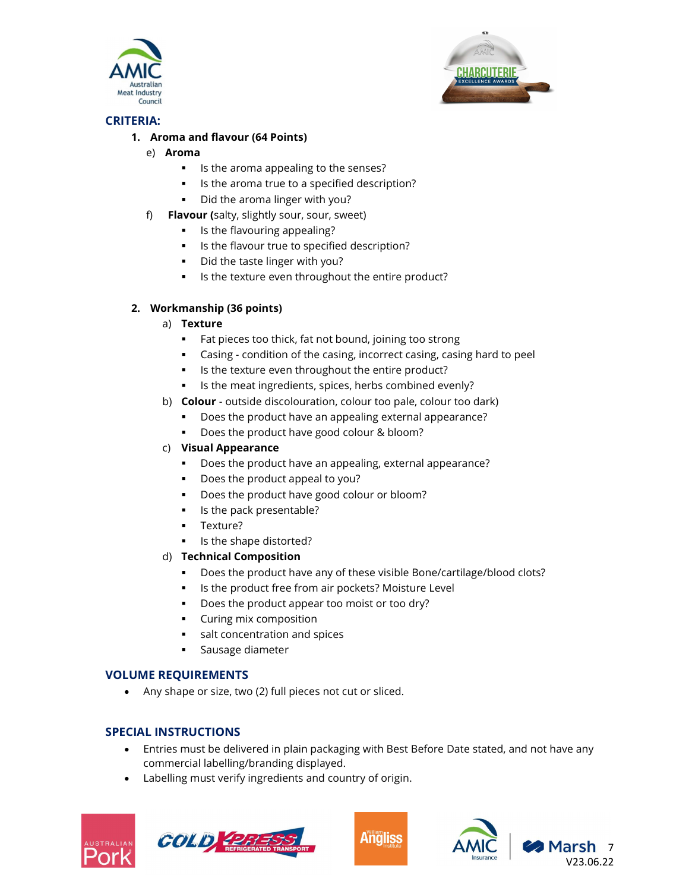



# CRITERIA:

# 1. Aroma and flavour (64 Points)

- e) Aroma
	- Is the aroma appealing to the senses?
	- Is the aroma true to a specified description?
	- Did the aroma linger with you?
- f) Flavour (salty, slightly sour, sour, sweet)
	- **IF** Is the flavouring appealing?
	- Is the flavour true to specified description?
	- Did the taste linger with you?
	- **IF Its the texture even throughout the entire product?**

# 2. Workmanship (36 points)

- a) Texture
	- **Fat pieces too thick, fat not bound, joining too strong**
	- Casing condition of the casing, incorrect casing, casing hard to peel
	- Is the texture even throughout the entire product?
	- Is the meat ingredients, spices, herbs combined evenly?
- b) **Colour** outside discolouration, colour too pale, colour too dark)
	- Does the product have an appealing external appearance?
	- Does the product have good colour & bloom?

# c) Visual Appearance

- Does the product have an appealing, external appearance?
- Does the product appeal to you?
- Does the product have good colour or bloom?
- Is the pack presentable?
- **Texture?**
- Is the shape distorted?

# d) Technical Composition

- Does the product have any of these visible Bone/cartilage/blood clots?
- **IF Its the product free from air pockets? Moisture Level**
- Does the product appear too moist or too dry?
- **Curing mix composition**
- salt concentration and spices
- **Sausage diameter**

# VOLUME REQUIREMENTS

Any shape or size, two (2) full pieces not cut or sliced.

# SPECIAL INSTRUCTIONS

- Entries must be delivered in plain packaging with Best Before Date stated, and not have any commercial labelling/branding displayed.
- Labelling must verify ingredients and country of origin.









7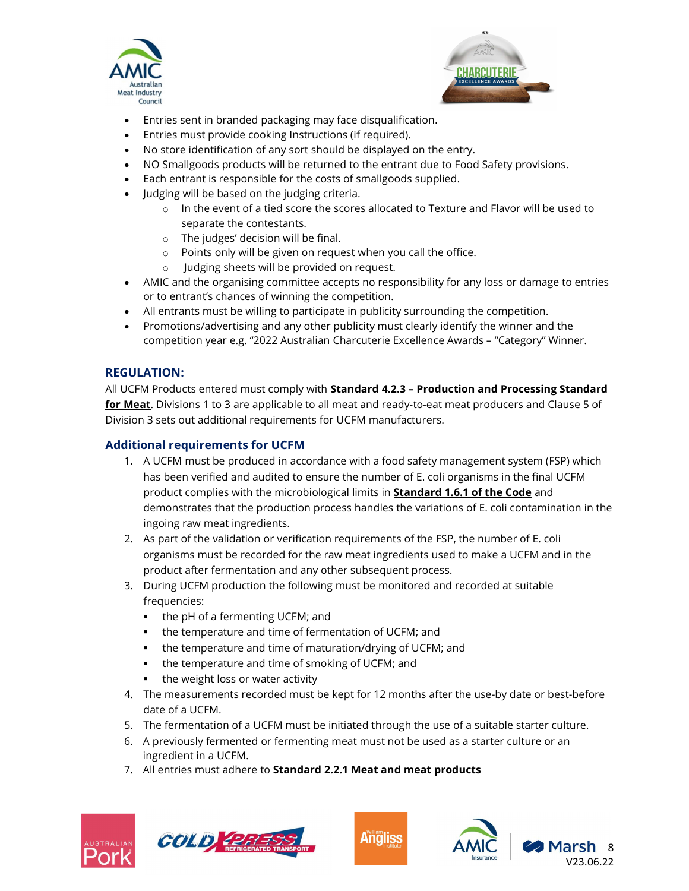



- Entries sent in branded packaging may face disqualification.
- Entries must provide cooking Instructions (if required).
- No store identification of any sort should be displayed on the entry.
- NO Smallgoods products will be returned to the entrant due to Food Safety provisions.
- Each entrant is responsible for the costs of smallgoods supplied.
- Judging will be based on the judging criteria.
	- o In the event of a tied score the scores allocated to Texture and Flavor will be used to separate the contestants.
	- o The judges' decision will be final.
	- o Points only will be given on request when you call the office.
	- o Judging sheets will be provided on request.
- AMIC and the organising committee accepts no responsibility for any loss or damage to entries or to entrant's chances of winning the competition.
- All entrants must be willing to participate in publicity surrounding the competition.
- Promotions/advertising and any other publicity must clearly identify the winner and the competition year e.g. "2022 Australian Charcuterie Excellence Awards – "Category" Winner.

# REGULATION:

All UCFM Products entered must comply with **Standard 4.2.3 - Production and Processing Standard** for Meat. Divisions 1 to 3 are applicable to all meat and ready-to-eat meat producers and Clause 5 of Division 3 sets out additional requirements for UCFM manufacturers.

# Additional requirements for UCFM

- 1. A UCFM must be produced in accordance with a food safety management system (FSP) which has been verified and audited to ensure the number of E. coli organisms in the final UCFM product complies with the microbiological limits in Standard 1.6.1 of the Code and demonstrates that the production process handles the variations of E. coli contamination in the ingoing raw meat ingredients.
- 2. As part of the validation or verification requirements of the FSP, the number of E. coli organisms must be recorded for the raw meat ingredients used to make a UCFM and in the product after fermentation and any other subsequent process.
- 3. During UCFM production the following must be monitored and recorded at suitable frequencies:
	- the pH of a fermenting UCFM; and
	- the temperature and time of fermentation of UCFM; and
	- the temperature and time of maturation/drying of UCFM; and
	- the temperature and time of smoking of UCFM; and
	- the weight loss or water activity
- 4. The measurements recorded must be kept for 12 months after the use-by date or best-before date of a UCFM.
- 5. The fermentation of a UCFM must be initiated through the use of a suitable starter culture.
- 6. A previously fermented or fermenting meat must not be used as a starter culture or an ingredient in a UCFM.
- 7. All entries must adhere to **Standard 2.2.1 Meat and meat products**







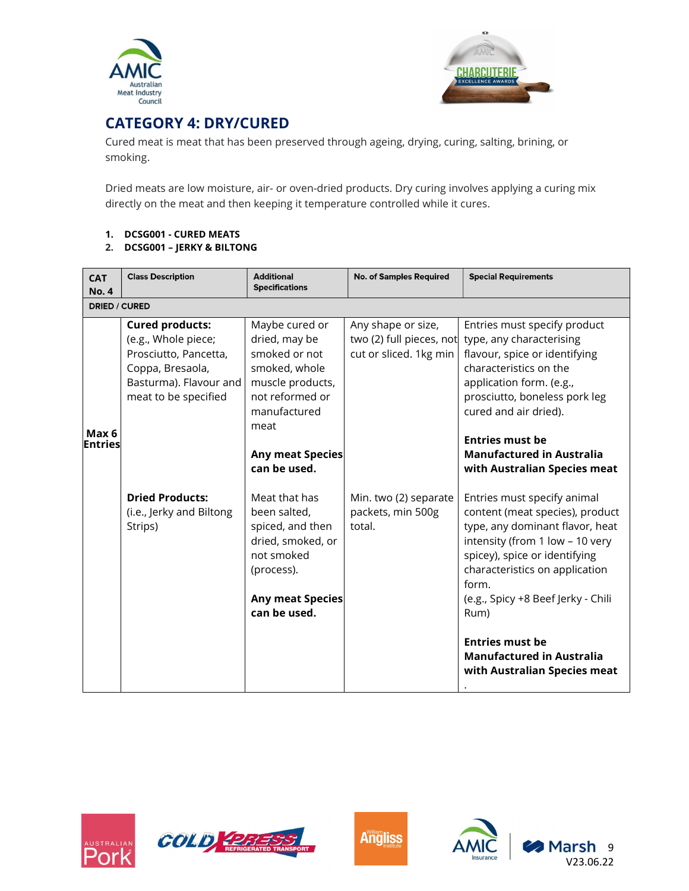



# CATEGORY 4: DRY/CURED

Cured meat is meat that has been preserved through ageing, drying, curing, salting, brining, or smoking.

Dried meats are low moisture, air- or oven-dried products. Dry curing involves applying a curing mix directly on the meat and then keeping it temperature controlled while it cures.

- 1. DCSG001 CURED MEATS
- 2. DCSG001 JERKY & BILTONG

| <b>CAT</b><br><b>No. 4</b> | <b>Class Description</b>                                                                                                                     | <b>Additional</b><br><b>Specifications</b>                                                                                                                                  | <b>No. of Samples Required</b>                                           | <b>Special Requirements</b>                                                                                                                                                                                                                                                                                                                                  |  |  |
|----------------------------|----------------------------------------------------------------------------------------------------------------------------------------------|-----------------------------------------------------------------------------------------------------------------------------------------------------------------------------|--------------------------------------------------------------------------|--------------------------------------------------------------------------------------------------------------------------------------------------------------------------------------------------------------------------------------------------------------------------------------------------------------------------------------------------------------|--|--|
|                            | <b>DRIED / CURED</b>                                                                                                                         |                                                                                                                                                                             |                                                                          |                                                                                                                                                                                                                                                                                                                                                              |  |  |
| Max 6<br><b>Entries</b>    | <b>Cured products:</b><br>(e.g., Whole piece;<br>Prosciutto, Pancetta,<br>Coppa, Bresaola,<br>Basturma). Flavour and<br>meat to be specified | Maybe cured or<br>dried, may be<br>smoked or not<br>smoked, whole<br>muscle products,<br>not reformed or<br>manufactured<br>meat<br><b>Any meat Species</b><br>can be used. | Any shape or size,<br>two (2) full pieces, not<br>cut or sliced. 1kg min | Entries must specify product<br>type, any characterising<br>flavour, spice or identifying<br>characteristics on the<br>application form. (e.g.,<br>prosciutto, boneless pork leg<br>cured and air dried).<br><b>Entries must be</b><br><b>Manufactured in Australia</b><br>with Australian Species meat                                                      |  |  |
|                            | <b>Dried Products:</b><br>(i.e., Jerky and Biltong<br>Strips)                                                                                | Meat that has<br>been salted,<br>spiced, and then<br>dried, smoked, or<br>not smoked<br>(process).<br><b>Any meat Species</b><br>can be used.                               | Min. two (2) separate<br>packets, min 500g<br>total.                     | Entries must specify animal<br>content (meat species), product<br>type, any dominant flavor, heat<br>intensity (from 1 low - 10 very<br>spicey), spice or identifying<br>characteristics on application<br>form.<br>(e.g., Spicy +8 Beef Jerky - Chili<br>Rum)<br><b>Entries must be</b><br><b>Manufactured in Australia</b><br>with Australian Species meat |  |  |









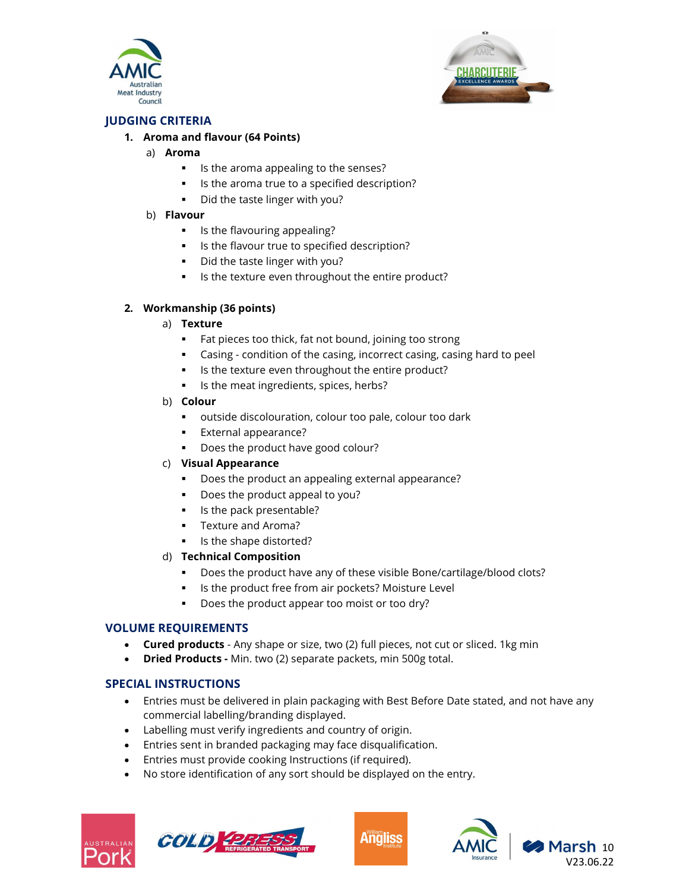



# JUDGING CRITERIA

#### 1. Aroma and flavour (64 Points)

- a) Aroma
	- Is the aroma appealing to the senses?
	- Is the aroma true to a specified description?
	- Did the taste linger with you?

#### b) Flavour

- **IF** Is the flavouring appealing?
- Is the flavour true to specified description?
- Did the taste linger with you?
- **IF Its the texture even throughout the entire product?**

#### 2. Workmanship (36 points)

#### a) Texture

- **Fat pieces too thick, fat not bound, joining too strong**
- Casing condition of the casing, incorrect casing, casing hard to peel
- Is the texture even throughout the entire product?
- Is the meat ingredients, spices, herbs?

#### b) Colour

- outside discolouration, colour too pale, colour too dark
- **External appearance?**
- Does the product have good colour?

#### c) Visual Appearance

- Does the product an appealing external appearance?
- **Does the product appeal to you?**
- Is the pack presentable?
- **Texture and Aroma?**
- Is the shape distorted?

# d) Technical Composition

- Does the product have any of these visible Bone/cartilage/blood clots?
- **IF Its the product free from air pockets? Moisture Level**
- Does the product appear too moist or too dry?

# VOLUME REQUIREMENTS

- Cured products Any shape or size, two (2) full pieces, not cut or sliced. 1kg min
- Dried Products Min. two (2) separate packets, min 500g total.

# SPECIAL INSTRUCTIONS

- Entries must be delivered in plain packaging with Best Before Date stated, and not have any commercial labelling/branding displayed.
- Labelling must verify ingredients and country of origin.
- Entries sent in branded packaging may face disqualification.
- Entries must provide cooking Instructions (if required).
- No store identification of any sort should be displayed on the entry.







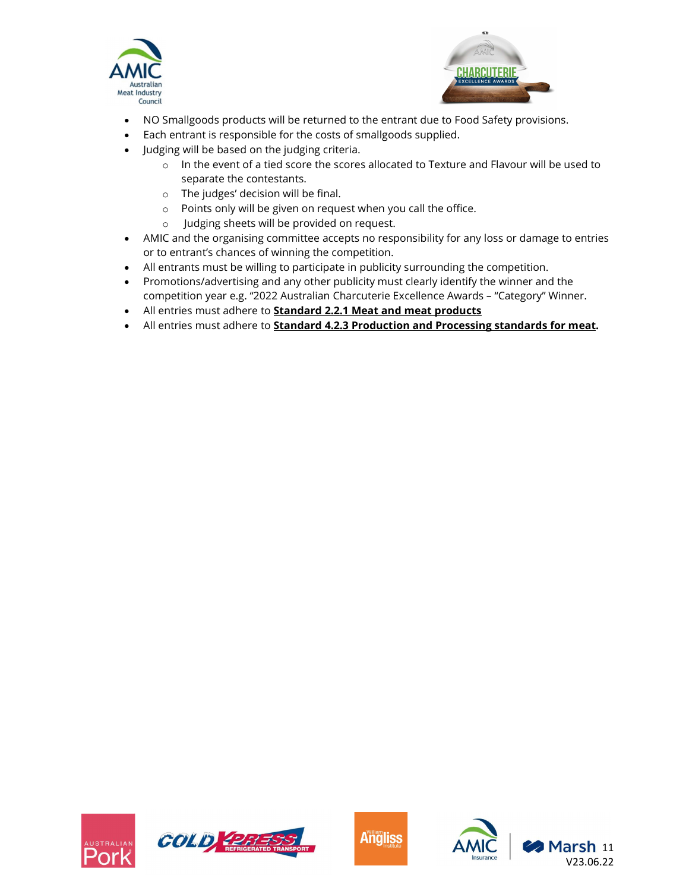



- NO Smallgoods products will be returned to the entrant due to Food Safety provisions.
- Each entrant is responsible for the costs of smallgoods supplied.
- Judging will be based on the judging criteria.
	- $\circ$  In the event of a tied score the scores allocated to Texture and Flavour will be used to separate the contestants.
	- o The judges' decision will be final.
	- o Points only will be given on request when you call the office.
	- o Judging sheets will be provided on request.
- AMIC and the organising committee accepts no responsibility for any loss or damage to entries or to entrant's chances of winning the competition.
- All entrants must be willing to participate in publicity surrounding the competition.
- Promotions/advertising and any other publicity must clearly identify the winner and the competition year e.g. "2022 Australian Charcuterie Excellence Awards – "Category" Winner.
- All entries must adhere to **Standard 2.2.1 Meat and meat products**
- All entries must adhere to **Standard 4.2.3 Production and Processing standards for meat.**







Marsh 11 V23.06.22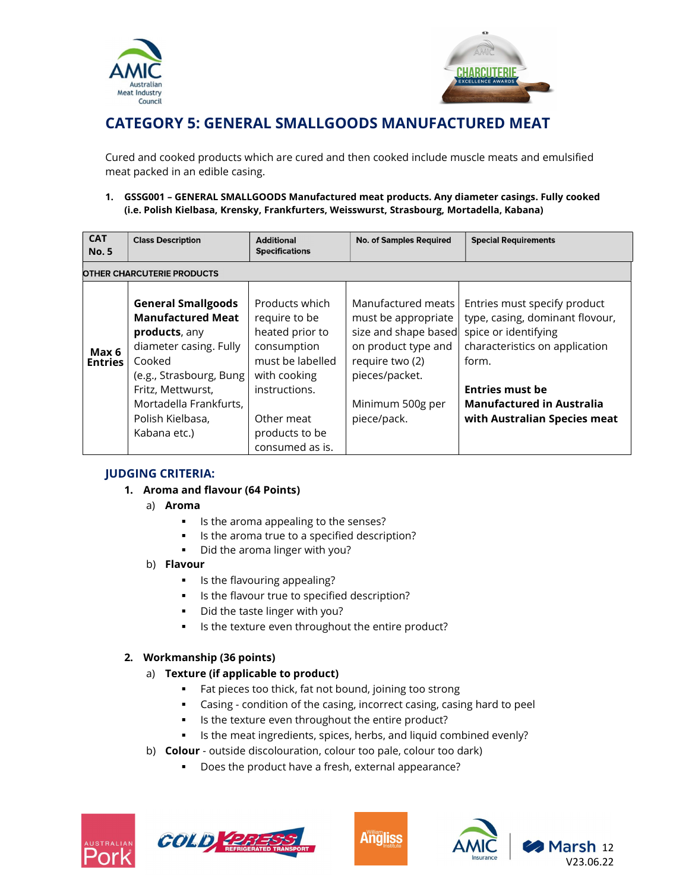



# CATEGORY 5: GENERAL SMALLGOODS MANUFACTURED MEAT

Cured and cooked products which are cured and then cooked include muscle meats and emulsified meat packed in an edible casing.

#### 1. GSSG001 – GENERAL SMALLGOODS Manufactured meat products. Any diameter casings. Fully cooked (i.e. Polish Kielbasa, Krensky, Frankfurters, Weisswurst, Strasbourg, Mortadella, Kabana)

| <b>CAT</b><br><b>No.5</b>         | <b>Class Description</b>                                                                                                                                                                                                 | <b>Additional</b><br><b>Specifications</b>                                                                                                                                | <b>No. of Samples Required</b>                                                                                                                                   | <b>Special Requirements</b>                                                                                                                                                                                                      |  |
|-----------------------------------|--------------------------------------------------------------------------------------------------------------------------------------------------------------------------------------------------------------------------|---------------------------------------------------------------------------------------------------------------------------------------------------------------------------|------------------------------------------------------------------------------------------------------------------------------------------------------------------|----------------------------------------------------------------------------------------------------------------------------------------------------------------------------------------------------------------------------------|--|
| <b>OTHER CHARCUTERIE PRODUCTS</b> |                                                                                                                                                                                                                          |                                                                                                                                                                           |                                                                                                                                                                  |                                                                                                                                                                                                                                  |  |
| Max 6<br><b>Entries</b>           | <b>General Smallgoods</b><br><b>Manufactured Meat</b><br>products, any<br>diameter casing. Fully<br>Cooked<br>(e.g., Strasbourg, Bung<br>Fritz, Mettwurst,<br>Mortadella Frankfurts,<br>Polish Kielbasa,<br>Kabana etc.) | Products which<br>require to be<br>heated prior to<br>consumption<br>must be labelled<br>with cooking<br>instructions.<br>Other meat<br>products to be<br>consumed as is. | Manufactured meats<br>must be appropriate<br>size and shape based<br>on product type and<br>require two (2)<br>pieces/packet.<br>Minimum 500g per<br>piece/pack. | Entries must specify product<br>type, casing, dominant flovour,<br>spice or identifying<br>characteristics on application<br>form.<br><b>Entries must be</b><br><b>Manufactured in Australia</b><br>with Australian Species meat |  |

# JUDGING CRITERIA:

- 1. Aroma and flavour (64 Points)
	- a) Aroma
		- Is the aroma appealing to the senses?
		- Is the aroma true to a specified description?
		- Did the aroma linger with you?

#### b) Flavour

- **IF** Is the flavouring appealing?
- **IF Its the flavour true to specified description?**
- **Did the taste linger with you?**
- Is the texture even throughout the entire product?

# 2. Workmanship (36 points)

- a) Texture (if applicable to product)
	- Fat pieces too thick, fat not bound, joining too strong
	- Casing condition of the casing, incorrect casing, casing hard to peel
	- **IF Its the texture even throughout the entire product?**
	- Is the meat ingredients, spices, herbs, and liquid combined evenly?
- b) Colour outside discolouration, colour too pale, colour too dark)
	- Does the product have a fresh, external appearance?